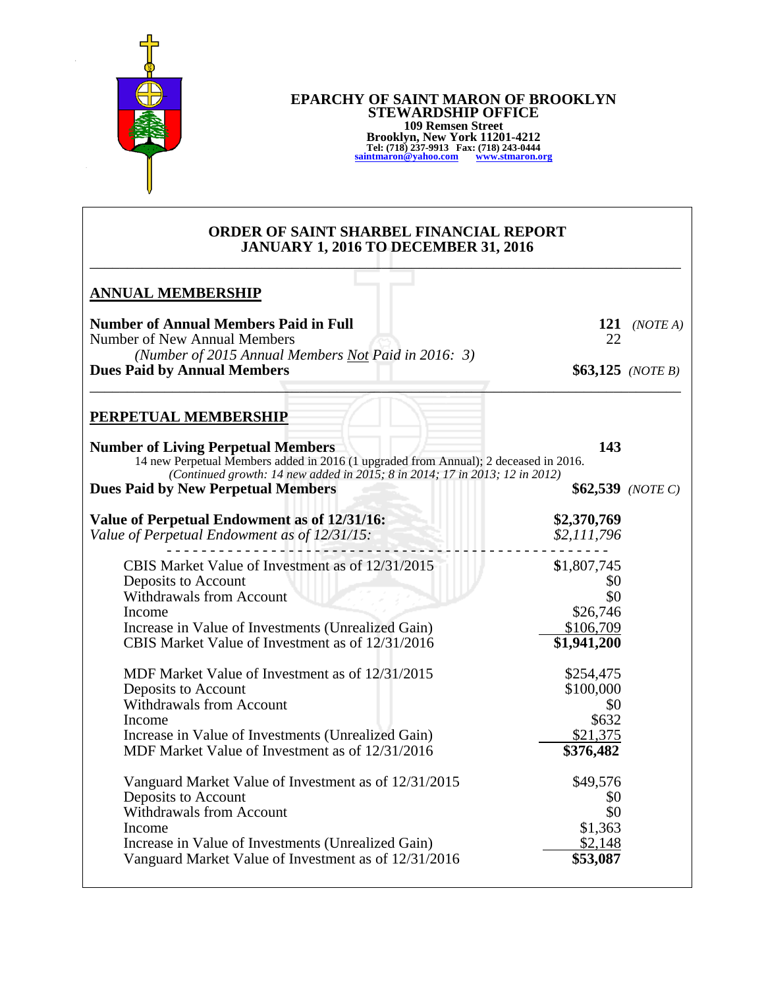

## **EPARCHY OF SAINT MARON OF BROOKLYN STEWARDSHIP OFFICE 109 Remsen Street Brooklyn, New York 11201-4212 Tel: (718) 237-9913 Fax: (718) 243-0444 [saintmaron@yahoo.com](mailto:saintmaron@yahoo.com) [www.stmaron.org](http://www.stmaron.org/)**

## **ORDER OF SAINT SHARBEL FINANCIAL REPORT JANUARY 1, 2016 TO DECEMBER 31, 2016**

\_\_\_\_\_\_\_\_\_\_\_\_\_\_\_\_\_\_\_\_\_\_\_\_\_\_\_\_\_\_\_\_\_\_\_\_\_\_\_\_\_\_\_\_\_\_\_\_\_\_\_\_\_\_\_\_\_\_\_\_\_\_\_\_\_\_\_\_\_\_\_\_\_\_\_\_\_\_\_

| <b>ANNUAL MEMBERSHIP</b>                                                                                                                                                                                         |             |                    |
|------------------------------------------------------------------------------------------------------------------------------------------------------------------------------------------------------------------|-------------|--------------------|
| <b>Number of Annual Members Paid in Full</b><br>Number of New Annual Members<br>(Number of 2015 Annual Members Not Paid in 2016: 3)                                                                              | 22          | 121 $(NOTE A)$     |
| <b>Dues Paid by Annual Members</b>                                                                                                                                                                               |             | $$63,125$ (NOTE B) |
| PERPETUAL MEMBERSHIP                                                                                                                                                                                             |             |                    |
| <b>Number of Living Perpetual Members</b><br>14 new Perpetual Members added in 2016 (1 upgraded from Annual); 2 deceased in 2016.<br>(Continued growth: 14 new added in 2015; 8 in 2014; 17 in 2013; 12 in 2012) | 143         |                    |
| <b>Dues Paid by New Perpetual Members</b>                                                                                                                                                                        |             | \$62,539 (NOTE C)  |
| Value of Perpetual Endowment as of 12/31/16:                                                                                                                                                                     | \$2,370,769 |                    |
| Value of Perpetual Endowment as of 12/31/15:                                                                                                                                                                     | \$2,111,796 |                    |
| CBIS Market Value of Investment as of 12/31/2015                                                                                                                                                                 | \$1,807,745 |                    |
| Deposits to Account                                                                                                                                                                                              | \$0         |                    |
| <b>Withdrawals from Account</b>                                                                                                                                                                                  | \$0         |                    |
| Income                                                                                                                                                                                                           | \$26,746    |                    |
| Increase in Value of Investments (Unrealized Gain)                                                                                                                                                               | \$106,709   |                    |
| CBIS Market Value of Investment as of 12/31/2016                                                                                                                                                                 | \$1,941,200 |                    |
| MDF Market Value of Investment as of 12/31/2015                                                                                                                                                                  | \$254,475   |                    |
| Deposits to Account                                                                                                                                                                                              | \$100,000   |                    |
| <b>Withdrawals from Account</b>                                                                                                                                                                                  | \$0         |                    |
| Income                                                                                                                                                                                                           | \$632       |                    |
| Increase in Value of Investments (Unrealized Gain)                                                                                                                                                               | \$21,375    |                    |
| MDF Market Value of Investment as of 12/31/2016                                                                                                                                                                  | \$376,482   |                    |
| Vanguard Market Value of Investment as of 12/31/2015                                                                                                                                                             | \$49,576    |                    |
| Deposits to Account                                                                                                                                                                                              | \$0         |                    |
| <b>Withdrawals from Account</b>                                                                                                                                                                                  | \$0         |                    |
| Income                                                                                                                                                                                                           | \$1,363     |                    |
| Increase in Value of Investments (Unrealized Gain)                                                                                                                                                               | \$2,148     |                    |
| Vanguard Market Value of Investment as of 12/31/2016                                                                                                                                                             | \$53,087    |                    |